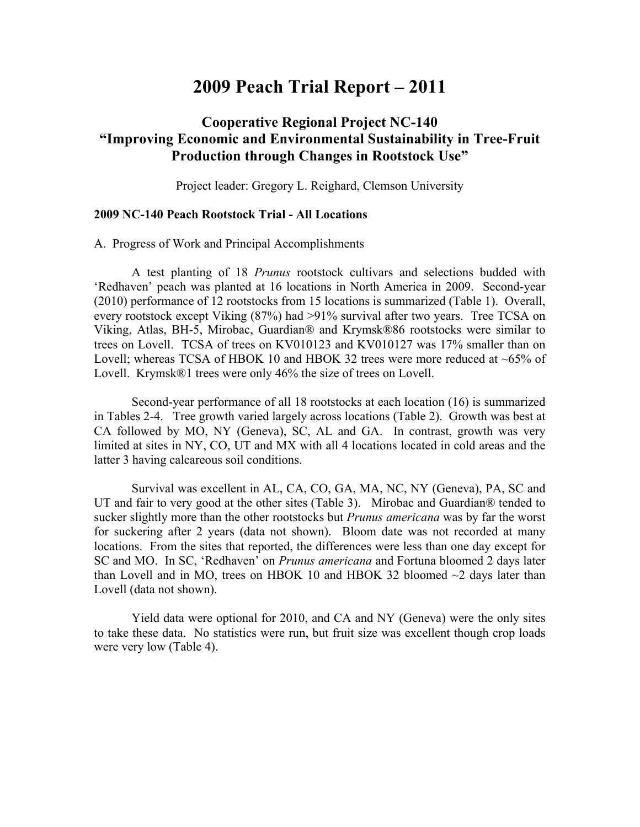## **2009 Peach Trial Report – 2011**

## **Cooperative Regional Project NC-140 "Improving Economic and Environmental Sustainability in Tree-Fruit Production through Changes in Rootstock Use"**

Project leader: Gregory L. Reighard, Clemson University

## **2009 NC-140 Peach Rootstock Trial - All Locations**

A. Progress of Work and Principal Accomplishments

A test planting of 18 *Prunus* rootstock cultivars and selections budded with 'Redhaven' peach was planted at 16 locations in North America in 2009. Second-year (2010) performance of 12 rootstocks from 15 locations is summarized (Table 1). Overall, every rootstock except Viking (87%) had >91% survival after two years. Tree TCSA on Viking, Atlas, BH-5, Mirobac, Guardian® and Krymsk®86 rootstocks were similar to trees on Lovell. TCSA of trees on KV010123 and KV010127 was 17% smaller than on Lovell; whereas TCSA of HBOK 10 and HBOK 32 trees were more reduced at ~65% of Lovell. Krymsk®1 trees were only 46% the size of trees on Lovell.

Second-year performance of all 18 rootstocks at each location (16) is summarized in Tables 2-4. Tree growth varied largely across locations (Table 2). Growth was best at CA followed by MO, NY (Geneva), SC, AL and GA. In contrast, growth was very limited at sites in NY, CO, UT and MX with all 4 locations located in cold areas and the latter 3 having calcareous soil conditions.

Survival was excellent in AL, CA, CO, GA, MA, NC, NY (Geneva), PA, SC and UT and fair to very good at the other sites (Table 3). Mirobac and Guardian® tended to sucker slightly more than the other rootstocks but *Prunus americana* was by far the worst for suckering after 2 years (data not shown). Bloom date was not recorded at many locations. From the sites that reported, the differences were less than one day except for SC and MO. In SC, 'Redhaven' on *Prunus americana* and Fortuna bloomed 2 days later than Lovell and in MO, trees on HBOK 10 and HBOK 32 bloomed  $\sim$ 2 days later than Lovell (data not shown).

Yield data were optional for 2010, and CA and NY (Geneva) were the only sites to take these data. No statistics were run, but fruit size was excellent though crop loads were very low (Table 4).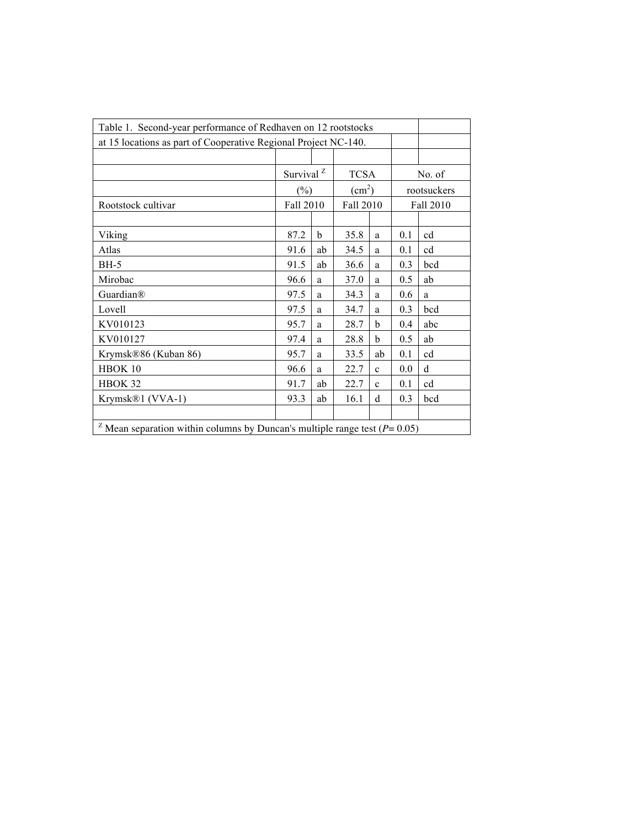| Table 1. Second-year performance of Redhaven on 12 rootstocks                              |                       |    |                        |             |             |             |  |  |  |  |  |
|--------------------------------------------------------------------------------------------|-----------------------|----|------------------------|-------------|-------------|-------------|--|--|--|--|--|
| at 15 locations as part of Cooperative Regional Project NC-140.                            |                       |    |                        |             |             |             |  |  |  |  |  |
|                                                                                            |                       |    |                        |             |             |             |  |  |  |  |  |
|                                                                                            | Survival <sup>Z</sup> |    | <b>TCSA</b>            |             |             | No. of      |  |  |  |  |  |
|                                                                                            | $(\%)$                |    | $\text{(cm}^2\text{)}$ |             | rootsuckers |             |  |  |  |  |  |
| Rootstock cultivar                                                                         | Fall 2010             |    | Fall 2010              |             |             | Fall 2010   |  |  |  |  |  |
|                                                                                            |                       |    |                        |             |             |             |  |  |  |  |  |
| Viking                                                                                     | 87.2                  | b  | 35.8                   | a           | 0.1         | cd          |  |  |  |  |  |
| Atlas                                                                                      | 91.6                  | ab | 34.5                   | a           | 0.1         | cd          |  |  |  |  |  |
| <b>BH-5</b>                                                                                | 91.5                  | ab | 36.6                   | a           | 0.3         | bcd         |  |  |  |  |  |
| Mirobac                                                                                    | 96.6                  | a  | 37.0                   | a           | 0.5         | ab          |  |  |  |  |  |
| Guardian®                                                                                  | 97.5                  | a  | 34.3                   | a           | 0.6         | a           |  |  |  |  |  |
| Lovell                                                                                     | 97.5                  | a  | 34.7                   | a           | 0.3         | bcd         |  |  |  |  |  |
| KV010123                                                                                   | 95.7                  | a  | 28.7                   | b           | 0.4         | abc         |  |  |  |  |  |
| KV010127                                                                                   | 97.4                  | a  | 28.8                   | b           | 0.5         | ab          |  |  |  |  |  |
| Krymsk®86 (Kuban 86)                                                                       | 95.7                  | a  | 33.5                   | ab          | 0.1         | cd          |  |  |  |  |  |
| HBOK 10                                                                                    | 96.6                  | a  | 22.7                   | $\mathbf c$ | 0.0         | $\mathbf d$ |  |  |  |  |  |
| HBOK 32                                                                                    | 91.7                  | ab | 22.7                   | $\mathbf c$ | 0.1         | cd          |  |  |  |  |  |
| Krymsk®1 (VVA-1)                                                                           | 93.3                  | ab | 16.1                   | d           | 0.3         | bcd         |  |  |  |  |  |
|                                                                                            |                       |    |                        |             |             |             |  |  |  |  |  |
| <sup>Z</sup> Mean separation within columns by Duncan's multiple range test ( $P = 0.05$ ) |                       |    |                        |             |             |             |  |  |  |  |  |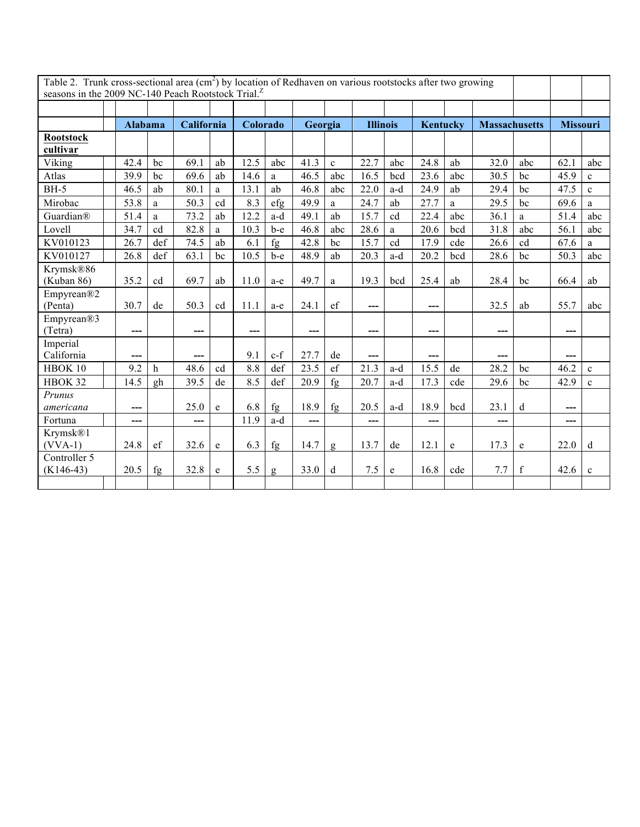| Table 2. Trunk cross-sectional area $(cm2)$ by location of Redhaven on various rootstocks after two growing |                |             |      |            |      |          |      |                         |       |                 |      |          |      |                      |                 |              |
|-------------------------------------------------------------------------------------------------------------|----------------|-------------|------|------------|------|----------|------|-------------------------|-------|-----------------|------|----------|------|----------------------|-----------------|--------------|
| seasons in the 2009 NC-140 Peach Rootstock Trial. <sup>2</sup>                                              |                |             |      |            |      |          |      |                         |       |                 |      |          |      |                      |                 |              |
|                                                                                                             |                |             |      |            |      |          |      |                         |       |                 |      |          |      |                      |                 |              |
|                                                                                                             | <b>Alabama</b> |             |      | California |      | Colorado |      | Georgia                 |       | <b>Illinois</b> |      | Kentucky |      | <b>Massachusetts</b> | <b>Missouri</b> |              |
| <b>Rootstock</b>                                                                                            |                |             |      |            |      |          |      |                         |       |                 |      |          |      |                      |                 |              |
| cultivar                                                                                                    |                |             |      |            |      |          |      |                         |       |                 |      |          |      |                      |                 |              |
| Viking                                                                                                      | 42.4           | bc          | 69.1 | ab         | 12.5 | abc      | 41.3 | $\mathbf{c}$            | 22.7  | abc             | 24.8 | ab       | 32.0 | abc                  | 62.1            | abc          |
| Atlas                                                                                                       | 39.9           | bc          | 69.6 | ab         | 14.6 | a        | 46.5 | abc                     | 16.5  | bcd             | 23.6 | abc      | 30.5 | bc                   | 45.9            | $\mathbf c$  |
| $BH-5$                                                                                                      | 46.5           | ab          | 80.1 | a          | 13.1 | ab       | 46.8 | abc                     | 22.0  | a-d             | 24.9 | ab       | 29.4 | bc                   | 47.5            | $\mathbf{c}$ |
| Mirobac                                                                                                     | 53.8           | a           | 50.3 | cd         | 8.3  | efg      | 49.9 | a                       | 24.7  | ab              | 27.7 | a        | 29.5 | bc                   | 69.6            | a            |
| Guardian®                                                                                                   | 51.4           | a           | 73.2 | ab         | 12.2 | a-d      | 49.1 | ab                      | 15.7  | cd              | 22.4 | abc      | 36.1 | a                    | 51.4            | abc          |
| Lovell                                                                                                      | 34.7           | cd          | 82.8 | $\rm{a}$   | 10.3 | $b-e$    | 46.8 | abc                     | 28.6  | a               | 20.6 | bcd      | 31.8 | abc                  | 56.1            | abc          |
| KV010123                                                                                                    | 26.7           | def         | 74.5 | ab         | 6.1  | fg       | 42.8 | bc                      | 15.7  | cd              | 17.9 | cde      | 26.6 | cd                   | 67.6            | a            |
| KV010127                                                                                                    | 26.8           | def         | 63.1 | bc         | 10.5 | b-e      | 48.9 | ab                      | 20.3  | a-d             | 20.2 | bcd      | 28.6 | bc                   | 50.3            | abc          |
| Krymsk®86                                                                                                   |                |             |      |            |      |          |      |                         |       |                 |      |          |      |                      |                 |              |
| (Kuban 86)                                                                                                  | 35.2           | cd          | 69.7 | ab         | 11.0 | a-e      | 49.7 | a                       | 19.3  | bcd             | 25.4 | ab       | 28.4 | bc                   | 66.4            | ab           |
| Empyrean®2                                                                                                  |                |             |      |            |      |          |      |                         |       |                 |      |          |      |                      |                 |              |
| (Penta)                                                                                                     | 30.7           | de          | 50.3 | cd         | 11.1 | a-e      | 24.1 | $\operatorname{\sf ef}$ | ---   |                 | ---  |          | 32.5 | ab                   | 55.7            | abc          |
| Empyrean®3                                                                                                  |                |             |      |            |      |          |      |                         |       |                 |      |          |      |                      |                 |              |
| (Tetra)                                                                                                     | ---            |             | ---  |            | ---  |          | ---  |                         | $---$ |                 | ---  |          | ---  |                      | ---             |              |
| Imperial                                                                                                    |                |             |      |            |      |          |      |                         |       |                 |      |          |      |                      |                 |              |
| California                                                                                                  |                |             |      |            | 9.1  | $c-f$    | 27.7 | de                      | ---   |                 |      |          | ---  |                      |                 |              |
| HBOK 10                                                                                                     | 9.2            | $\mathbf h$ | 48.6 | cd         | 8.8  | def      | 23.5 | $\mathsf{ef}$           | 21.3  | a-d             | 15.5 | de       | 28.2 | bc                   | 46.2            | $\mathbf{c}$ |
| HBOK 32                                                                                                     | 14.5           | gh          | 39.5 | de         | 8.5  | def      | 20.9 | fg                      | 20.7  | a-d             | 17.3 | cde      | 29.6 | bc                   | 42.9            | $\mathbf c$  |
| Prunus                                                                                                      |                |             |      |            |      |          |      |                         |       |                 |      |          |      |                      |                 |              |
| americana                                                                                                   | ---            |             | 25.0 | e          | 6.8  | fg       | 18.9 | fg                      | 20.5  | a-d             | 18.9 | bcd      | 23.1 | d                    | ---             |              |
| Fortuna                                                                                                     | ---            |             | ---  |            | 11.9 | a-d      | ---  |                         | $---$ |                 | ---  |          | ---  |                      | ---             |              |
| Krymsk®1<br>$(VVA-1)$                                                                                       | 24.8           | ef          | 32.6 | e          | 6.3  | fg       | 14.7 |                         | 13.7  | de              | 12.1 | e        | 17.3 | e                    | 22.0            | $\mathbf d$  |
| Controller 5                                                                                                |                |             |      |            |      |          |      | g                       |       |                 |      |          |      |                      |                 |              |
| $(K146-43)$                                                                                                 | 20.5           | fg          | 32.8 | e          | 5.5  | g        | 33.0 | d                       | 7.5   | e               | 16.8 | cde      | 7.7  | $\mathbf f$          | 42.6            | $\mathbf{c}$ |
|                                                                                                             |                |             |      |            |      |          |      |                         |       |                 |      |          |      |                      |                 |              |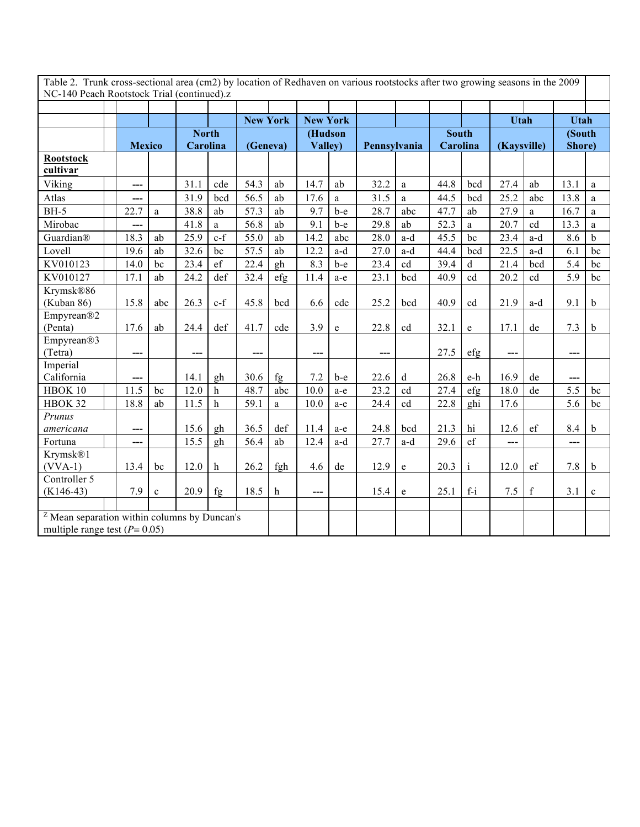Table 2. Trunk cross-sectional area (cm2) by location of Redhaven on various rootstocks after two growing seasons in the 2009 NC-140 Peach Rootstock Trial (continued).z

|                                                |               |              |              |               | <b>New York</b> |          | <b>New York</b> |           |              |              |              |              | Utah        |             | <b>Utah</b>      |              |
|------------------------------------------------|---------------|--------------|--------------|---------------|-----------------|----------|-----------------|-----------|--------------|--------------|--------------|--------------|-------------|-------------|------------------|--------------|
|                                                |               |              | <b>North</b> |               |                 |          | (Hudson         |           |              |              | <b>South</b> |              |             |             | (South           |              |
|                                                | <b>Mexico</b> |              |              | Carolina      |                 | (Geneva) |                 | Valley)   | Pennsylvania |              | Carolina     |              | (Kaysville) |             | Shore)           |              |
| <b>Rootstock</b>                               |               |              |              |               |                 |          |                 |           |              |              |              |              |             |             |                  |              |
| cultivar                                       |               |              |              |               |                 |          |                 |           |              |              |              |              |             |             |                  |              |
| Viking                                         | ---           |              | 31.1         | cde           | 54.3            | ab       | 14.7            | ab        | 32.2         | $\mathbf{a}$ | 44.8         | bcd          | 27.4        | ab          | 13.1             | a            |
| Atlas                                          | ---           |              | 31.9         | bcd           | 56.5            | ab       | 17.6            | a         | 31.5         | a            | 44.5         | bcd          | 25.2        | abc         | 13.8             | a            |
| $BH-5$                                         | 22.7          | a            | 38.8         | ab            | 57.3            | ab       | 9.7             | b-e       | 28.7         | abc          | 47.7         | ab           | 27.9        | a           | 16.7             | a            |
| Mirobac                                        | ---           |              | 41.8         | a             | 56.8            | ab       | 9.1             | $b-e$     | 29.8         | ab           | 52.3         | a            | 20.7        | cd          | 13.3             | a            |
| Guardian®                                      | 18.3          | ab           | 25.9         | $c-f$         | 55.0            | ab       | 14.2            | abc       | 28.0         | a-d          | 45.5         | bc           | 23.4        | a-d         | 8.6              | $\mathbf b$  |
| Lovell                                         | 19.6          | ab           | 32.6         | bc            | 57.5            | ab       | 12.2            | a-d       | 27.0         | a-d          | 44.4         | bcd          | 22.5        | a-d         | 6.1              | bc           |
| KV010123                                       | 14.0          | bc           | 23.4         | $\mathrm{ef}$ | 22.4            | gh       | 8.3             | b-e       | 23.4         | cd           | 39.4         | d            | 21.4        | bcd         | 5.4              | bc           |
| KV010127                                       | 17.1          | ab           | 24.2         | def           | 32.4            | efg      | 11.4            | a-e       | 23.1         | bcd          | 40.9         | cd           | 20.2        | cd          | 5.9              | bc           |
| Krymsk®86                                      |               |              |              |               |                 |          |                 |           |              |              |              |              |             |             |                  |              |
| (Kuban 86)                                     | 15.8          | abc          | 26.3         | $c-f$         | 45.8            | bcd      | 6.6             | cde       | 25.2         | bcd          | 40.9         | cd           | 21.9        | a-d         | 9.1              | $\mathbf b$  |
| Empyrean®2                                     |               |              |              |               |                 |          |                 |           |              |              |              |              |             |             |                  |              |
| (Penta)                                        | 17.6          | ab           | 24.4         | def           | 41.7            | cde      | 3.9             | ${\bf e}$ | 22.8         | cd           | 32.1         | e            | 17.1        | de          | 7.3              | $\mathbf b$  |
| Empyrean <sup>®3</sup>                         |               |              |              |               |                 |          |                 |           |              |              |              |              |             |             |                  |              |
| (Tetra)                                        | ---           |              | ---          |               | $---$           |          | $---$           |           | ---          |              | 27.5         | efg          | $---$       |             | $---$            |              |
| Imperial                                       |               |              |              |               |                 |          |                 |           |              |              |              |              |             |             |                  |              |
| California                                     | ---           |              | 14.1         | gh            | 30.6            | fg       | 7.2             | b-e       | 22.6         | $\mathbf d$  | 26.8         | e-h          | 16.9        | de          | ---              |              |
| HBOK 10                                        | 11.5          | bc           | 12.0         | h             | 48.7            | abc      | 10.0            | a-e       | 23.2         | cd           | 27.4         | efg          | 18.0        | de          | 5.5              | bc           |
| HBOK 32                                        | 18.8          | ab           | 11.5         | $\mathbf h$   | 59.1            | a        | 10.0            | a-e       | 24.4         | cd           | 22.8         | ghi          | 17.6        |             | $\overline{5.6}$ | bc           |
| Prunus                                         |               |              |              |               |                 |          |                 |           |              |              |              |              |             |             |                  |              |
| americana                                      | ---           |              | 15.6         | gh            | 36.5            | def      | 11.4            | a-e       | 24.8         | bcd          | 21.3         | hi           | 12.6        | ef          | 8.4              | $\mathbf b$  |
| Fortuna                                        | ---           |              | 15.5         | gh            | 56.4            | ab       | 12.4            | a-d       | 27.7         | a-d          | 29.6         | ef           | ---         |             | ---              |              |
| Krymsk <sup>®1</sup><br>$(VVA-1)$              | 13.4          | bc           | 12.0         | h             | 26.2            | fgh      | 4.6             | de        | 12.9         | e            | 20.3         | $\mathbf{i}$ | 12.0        | ef          | 7.8              | $\mathbf b$  |
| Controller 5                                   |               |              |              |               |                 |          |                 |           |              |              |              |              |             |             |                  |              |
| $(K146-43)$                                    | 7.9           | $\mathbf{c}$ | 20.9         | fg            | 18.5            | h        | ---             |           | 15.4         | e            | 25.1         | $f-i$        | 7.5         | $\mathbf f$ | 3.1              | $\mathbf{c}$ |
|                                                |               |              |              |               |                 |          |                 |           |              |              |              |              |             |             |                  |              |
| $Z$ Mean separation within columns by Duncan's |               |              |              |               |                 |          |                 |           |              |              |              |              |             |             |                  |              |
| multiple range test ( $P = 0.05$ )             |               |              |              |               |                 |          |                 |           |              |              |              |              |             |             |                  |              |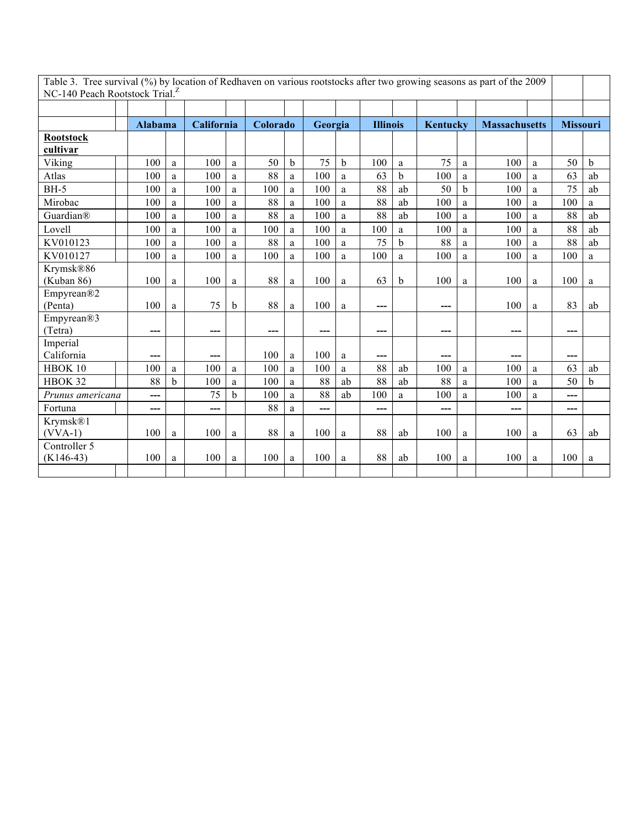| Table 3. Tree survival (%) by location of Redhaven on various rootstocks after two growing seasons as part of the 2009<br>NC-140 Peach Rootstock Trial. <sup>Z</sup> |                |              |     |              |       |             |     |         |     |                 |     |             |                      |   |                 |             |
|----------------------------------------------------------------------------------------------------------------------------------------------------------------------|----------------|--------------|-----|--------------|-------|-------------|-----|---------|-----|-----------------|-----|-------------|----------------------|---|-----------------|-------------|
|                                                                                                                                                                      |                |              |     |              |       |             |     |         |     |                 |     |             |                      |   |                 |             |
|                                                                                                                                                                      |                |              |     |              |       |             |     |         |     |                 |     |             |                      |   |                 |             |
|                                                                                                                                                                      | <b>Alabama</b> |              |     | California   |       | Colorado    |     | Georgia |     | <b>Illinois</b> |     | Kentucky    | <b>Massachusetts</b> |   | <b>Missouri</b> |             |
| <b>Rootstock</b>                                                                                                                                                     |                |              |     |              |       |             |     |         |     |                 |     |             |                      |   |                 |             |
| cultivar                                                                                                                                                             |                |              |     |              |       |             |     |         |     |                 |     |             |                      |   |                 |             |
| Viking                                                                                                                                                               | 100            | a            | 100 | a            | 50    | $\mathbf b$ | 75  | b       | 100 | a               | 75  | a           | 100                  | a | 50              | $\mathbf b$ |
| Atlas                                                                                                                                                                | 100            | a            | 100 | a            | 88    | a           | 100 | a       | 63  | b               | 100 | a           | 100                  | a | 63              | ab          |
| $BH-5$                                                                                                                                                               | 100            | a            | 100 | a            | 100   | a           | 100 | a       | 88  | ab              | 50  | $\mathbf b$ | 100                  | a | 75              | ab          |
| Mirobac                                                                                                                                                              | 100            | a            | 100 | a            | 88    | a           | 100 | a       | 88  | ab              | 100 | a           | 100                  | a | 100             | a           |
| Guardian®                                                                                                                                                            | 100            | a            | 100 | a            | 88    | a           | 100 | a       | 88  | ab              | 100 | a           | 100                  | a | 88              | ab          |
| Lovell                                                                                                                                                               | 100            | a            | 100 | a            | 100   | a           | 100 | a       | 100 | a               | 100 | a           | 100                  | a | 88              | ab          |
| KV010123                                                                                                                                                             | 100            | a            | 100 | a            | 88    | a           | 100 | a       | 75  | $\mathbf b$     | 88  | a           | 100                  | a | 88              | ab          |
| KV010127                                                                                                                                                             | 100            | a            | 100 | a            | 100   | a           | 100 | a       | 100 | a               | 100 | a           | 100                  | a | 100             | a           |
| Krymsk®86                                                                                                                                                            |                |              |     |              |       |             |     |         |     |                 |     |             |                      |   |                 |             |
| (Kuban 86)                                                                                                                                                           | 100            | a            | 100 | a            | 88    | a           | 100 | a       | 63  | b               | 100 | a           | 100                  | a | 100             | a           |
| Empyrean®2                                                                                                                                                           |                |              |     |              |       |             |     |         |     |                 |     |             |                      |   |                 |             |
| (Penta)                                                                                                                                                              | 100            | a            | 75  | <sub>b</sub> | 88    | a           | 100 | a       | --- |                 | --- |             | 100                  | a | 83              | ab          |
| Empyrean®3                                                                                                                                                           |                |              |     |              |       |             |     |         |     |                 |     |             |                      |   |                 |             |
| (Tetra)                                                                                                                                                              | ---            |              | --- |              | $---$ |             | --- |         | --- |                 | --- |             | $---$                |   | $---$           |             |
| Imperial                                                                                                                                                             |                |              |     |              |       |             |     |         |     |                 |     |             |                      |   |                 |             |
| California                                                                                                                                                           | ---            |              | --- |              | 100   | a           | 100 | a       | --- |                 | --- |             | ---                  |   | ---             |             |
| HBOK 10                                                                                                                                                              | 100            | a            | 100 | a            | 100   | a           | 100 | a       | 88  | ab              | 100 | a           | 100                  | a | 63              | ab          |
| HBOK 32                                                                                                                                                              | 88             | <sub>b</sub> | 100 | a            | 100   | a           | 88  | ab      | 88  | ab              | 88  | a           | 100                  | a | 50              | $\mathbf b$ |
| Prunus americana                                                                                                                                                     | ---            |              | 75  | b            | 100   | a           | 88  | ab      | 100 | $\mathbf{a}$    | 100 | a           | 100                  | a | ---             |             |
| Fortuna                                                                                                                                                              | ---            |              | --- |              | 88    | a           | --- |         | --- |                 | --- |             | ---                  |   | ---             |             |
| Krymsk®1                                                                                                                                                             |                |              |     |              |       |             |     |         |     |                 |     |             |                      |   |                 |             |
| $(VVA-1)$                                                                                                                                                            | 100            | a            | 100 | a            | 88    | a           | 100 | a       | 88  | ab              | 100 | a           | 100                  | a | 63              | ab          |
| Controller 5                                                                                                                                                         |                |              |     |              |       |             |     |         |     |                 |     |             |                      |   |                 |             |
| $(K146-43)$                                                                                                                                                          | 100            | a            | 100 | a            | 100   | a           | 100 | a       | 88  | ab              | 100 | a           | 100                  | a | 100             | a           |
|                                                                                                                                                                      |                |              |     |              |       |             |     |         |     |                 |     |             |                      |   |                 |             |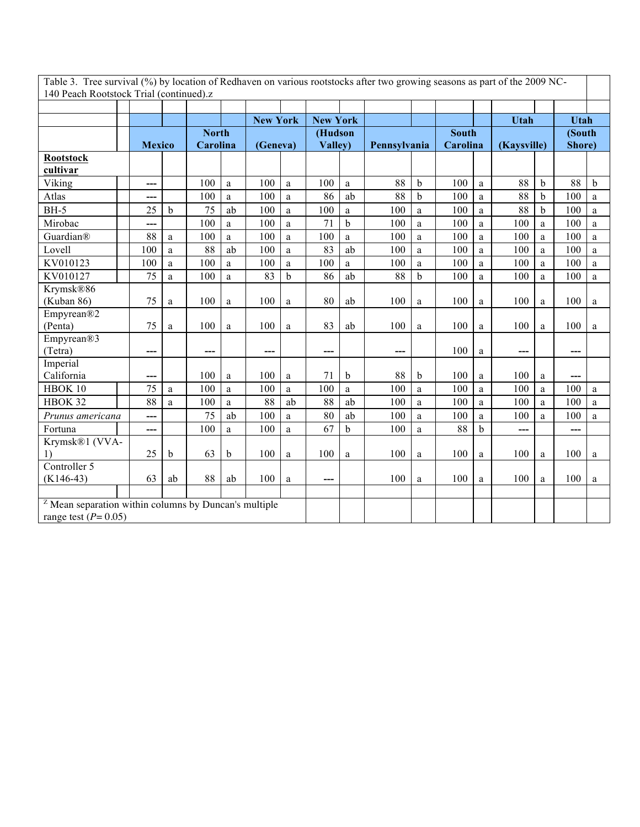| Table 3. Tree survival (%) by location of Redhaven on various rootstocks after two growing seasons as part of the 2009 NC- |  |
|----------------------------------------------------------------------------------------------------------------------------|--|
| 140 Peach Rootstock Trial (continued).z                                                                                    |  |

|                                                                  |     |     |               |              |    |     | <b>New York</b> |         | <b>New York</b> |              |              |              |   | <b>Utah</b> |             | <b>Utah</b> |              |
|------------------------------------------------------------------|-----|-----|---------------|--------------|----|-----|-----------------|---------|-----------------|--------------|--------------|--------------|---|-------------|-------------|-------------|--------------|
|                                                                  |     |     |               | <b>North</b> |    |     |                 | (Hudson |                 |              |              | <b>South</b> |   |             |             | (South      |              |
|                                                                  |     |     | <b>Mexico</b> | Carolina     |    |     | (Geneva)        |         | Valley)         | Pennsylvania |              | Carolina     |   | (Kaysville) |             | Shore)      |              |
| <b>Rootstock</b>                                                 |     |     |               |              |    |     |                 |         |                 |              |              |              |   |             |             |             |              |
| cultivar                                                         |     |     |               |              |    |     |                 |         |                 |              |              |              |   |             |             |             |              |
| Viking                                                           |     | --- |               | 100          | a  | 100 | a               | 100     | a               | 88           | $\mathbf b$  | 100          | a | 88          | $\mathbf b$ | 88          | $\mathbf b$  |
| Atlas                                                            |     | --- |               | 100          | a  | 100 | a               | 86      | ab              | 88           | b            | 100          | a | 88          | b           | 100         | a            |
| <b>BH-5</b>                                                      |     | 25  | b             | 75           | ab | 100 | a               | 100     | a               | 100          | a            | 100          | a | 88          | b           | 100         | a            |
| Mirobac                                                          |     | --- |               | 100          | a  | 100 | a               | 71      | $\mathbf b$     | 100          | a            | 100          | a | 100         | a           | 100         | a            |
| Guardian®                                                        |     | 88  | $\rm{a}$      | 100          | a  | 100 | $\mathbf{a}$    | 100     | $\mathbf{a}$    | 100          | $\mathbf{a}$ | 100          | a | 100         | a           | 100         | $\mathbf{a}$ |
| Lovell                                                           | 100 |     | a             | 88           | ab | 100 | a               | 83      | ab              | 100          | a            | 100          | a | 100         | a           | 100         | a            |
| KV010123                                                         | 100 |     | a             | 100          | a  | 100 | a               | 100     | a               | 100          | a            | 100          | a | 100         | a           | 100         | a            |
| KV010127                                                         |     | 75  | a             | 100          | a  | 83  | b               | 86      | ab              | 88           | $\mathbf b$  | 100          | a | 100         | a           | 100         | a            |
| Krymsk®86                                                        |     |     |               |              |    |     |                 |         |                 |              |              |              |   |             |             |             |              |
| (Kuban 86)                                                       |     | 75  | a             | 100          | a  | 100 | a               | 80      | ab              | 100          | a            | 100          | a | 100         | a           | 100         | a            |
| Empyrean®2                                                       |     |     |               |              |    |     |                 |         |                 |              |              |              |   |             |             |             |              |
| (Penta)                                                          |     | 75  | a             | 100          | a  | 100 | $\mathbf{a}$    | 83      | ab              | 100          | a            | 100          | a | 100         | a           | 100         | a            |
| Empyrean®3                                                       |     |     |               |              |    |     |                 |         |                 |              |              |              |   |             |             |             |              |
| (Tetra)                                                          |     | --- |               | ---          |    | --- |                 | ---     |                 | ---          |              | 100          | a | ---         |             | ---         |              |
| Imperial                                                         |     |     |               |              |    |     |                 |         |                 |              |              |              |   |             |             |             |              |
| California                                                       |     | --- |               | 100          | a  | 100 | a               | 71      | $\mathbf b$     | 88           | b            | 100          | a | 100         | a           | ---         |              |
| HBOK 10                                                          |     | 75  | a             | 100          | a  | 100 | a               | 100     | a               | 100          | a            | 100          | a | 100         | a           | 100         | a            |
| HBOK 32                                                          |     | 88  | a             | 100          | a  | 88  | ab              | 88      | ab              | 100          | a            | 100          | a | 100         | a           | 100         | a            |
| Prunus americana                                                 |     | --- |               | 75           | ab | 100 | a               | 80      | ab              | 100          | $\rm{a}$     | 100          | a | 100         | a           | 100         | a            |
| Fortuna                                                          |     | --- |               | 100          | a  | 100 | a               | 67      | $\mathbf b$     | 100          | a            | 88           | b | ---         |             | ---         |              |
| Krymsk®1 (VVA-                                                   |     |     |               |              |    |     |                 |         |                 |              |              |              |   |             |             |             |              |
| 1)                                                               |     | 25  | b             | 63           | b  | 100 | a               | 100     | $\mathbf{a}$    | 100          | a            | 100          | a | 100         | a           | 100         | a            |
| Controller 5                                                     |     |     |               |              |    |     |                 |         |                 |              |              |              |   |             |             |             |              |
| $(K146-43)$                                                      | 63  |     | ab            | 88           | ab | 100 | a               | ---     |                 | 100          | a            | 100          | a | 100         | a           | 100         | a            |
|                                                                  |     |     |               |              |    |     |                 |         |                 |              |              |              |   |             |             |             |              |
| <sup>Z</sup> Mean separation within columns by Duncan's multiple |     |     |               |              |    |     |                 |         |                 |              |              |              |   |             |             |             |              |
| range test $(P=0.05)$                                            |     |     |               |              |    |     |                 |         |                 |              |              |              |   |             |             |             |              |